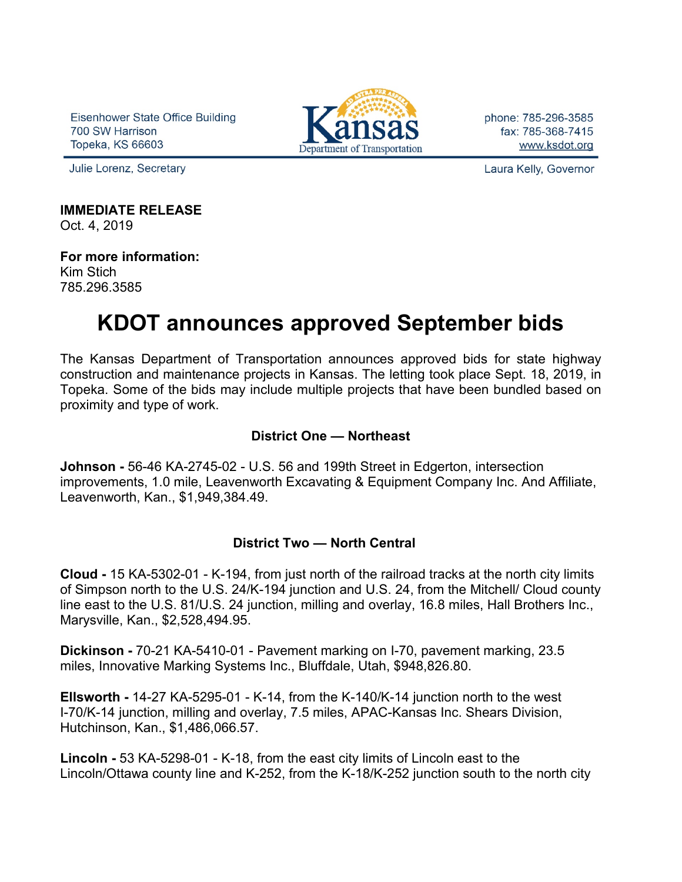Eisenhower State Office Building 700 SW Harrison Topeka, KS 66603

Julie Lorenz, Secretary



phone: 785-296-3585 fax: 785-368-7415 www.ksdot.org

Laura Kelly, Governor

**IMMEDIATE RELEASE**

Oct. 4, 2019

**For more information:** Kim Stich 785.296.3585

# **KDOT announces approved September bids**

The Kansas Department of Transportation announces approved bids for state highway construction and maintenance projects in Kansas. The letting took place Sept. 18, 2019, in Topeka. Some of the bids may include multiple projects that have been bundled based on proximity and type of work.

## **District One — Northeast**

**Johnson -** 56-46 KA-2745-02 - U.S. 56 and 199th Street in Edgerton, intersection improvements, 1.0 mile, Leavenworth Excavating & Equipment Company Inc. And Affiliate, Leavenworth, Kan., \$1,949,384.49.

## **District Two — North Central**

**Cloud -** 15 KA-5302-01 - K-194, from just north of the railroad tracks at the north city limits of Simpson north to the U.S. 24/K-194 junction and U.S. 24, from the Mitchell/ Cloud county line east to the U.S. 81/U.S. 24 junction, milling and overlay, 16.8 miles, Hall Brothers Inc., Marysville, Kan., \$2,528,494.95.

**Dickinson -** 70-21 KA-5410-01 - Pavement marking on I-70, pavement marking, 23.5 miles, Innovative Marking Systems Inc., Bluffdale, Utah, \$948,826.80.

**Ellsworth -** 14-27 KA-5295-01 - K-14, from the K-140/K-14 junction north to the west I-70/K-14 junction, milling and overlay, 7.5 miles, APAC-Kansas Inc. Shears Division, Hutchinson, Kan., \$1,486,066.57.

**Lincoln -** 53 KA-5298-01 - K-18, from the east city limits of Lincoln east to the Lincoln/Ottawa county line and K-252, from the K-18/K-252 junction south to the north city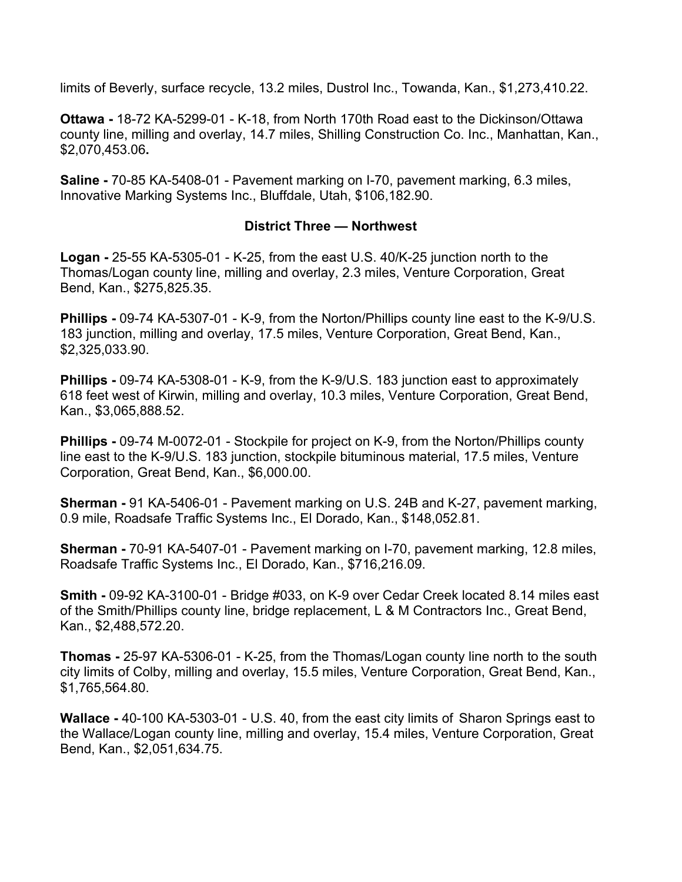limits of Beverly, surface recycle, 13.2 miles, Dustrol Inc., Towanda, Kan., \$1,273,410.22.

**Ottawa -** 18-72 KA-5299-01 - K-18, from North 170th Road east to the Dickinson/Ottawa county line, milling and overlay, 14.7 miles, Shilling Construction Co. Inc., Manhattan, Kan., \$2,070,453.06**.**

**Saline -** 70-85 KA-5408-01 - Pavement marking on I-70, pavement marking, 6.3 miles, Innovative Marking Systems Inc., Bluffdale, Utah, \$106,182.90.

#### **District Three — Northwest**

**Logan -** 25-55 KA-5305-01 - K-25, from the east U.S. 40/K-25 junction north to the Thomas/Logan county line, milling and overlay, 2.3 miles, Venture Corporation, Great Bend, Kan., \$275,825.35.

**Phillips -** 09-74 KA-5307-01 - K-9, from the Norton/Phillips county line east to the K-9/U.S. 183 junction, milling and overlay, 17.5 miles, Venture Corporation, Great Bend, Kan., \$2,325,033.90.

**Phillips -** 09-74 KA-5308-01 - K-9, from the K-9/U.S. 183 junction east to approximately 618 feet west of Kirwin, milling and overlay, 10.3 miles, Venture Corporation, Great Bend, Kan., \$3,065,888.52.

**Phillips -** 09-74 M-0072-01 - Stockpile for project on K-9, from the Norton/Phillips county line east to the K-9/U.S. 183 junction, stockpile bituminous material, 17.5 miles, Venture Corporation, Great Bend, Kan., \$6,000.00.

**Sherman -** 91 KA-5406-01 - Pavement marking on U.S. 24B and K-27, pavement marking, 0.9 mile, Roadsafe Traffic Systems Inc., El Dorado, Kan., \$148,052.81.

**Sherman -** 70-91 KA-5407-01 - Pavement marking on I-70, pavement marking, 12.8 miles, Roadsafe Traffic Systems Inc., El Dorado, Kan., \$716,216.09.

**Smith -** 09-92 KA-3100-01 - Bridge #033, on K-9 over Cedar Creek located 8.14 miles east of the Smith/Phillips county line, bridge replacement, L & M Contractors Inc., Great Bend, Kan., \$2,488,572.20.

**Thomas -** 25-97 KA-5306-01 - K-25, from the Thomas/Logan county line north to the south city limits of Colby, milling and overlay, 15.5 miles, Venture Corporation, Great Bend, Kan., \$1,765,564.80.

**Wallace -** 40-100 KA-5303-01 - U.S. 40, from the east city limits of Sharon Springs east to the Wallace/Logan county line, milling and overlay, 15.4 miles, Venture Corporation, Great Bend, Kan., \$2,051,634.75.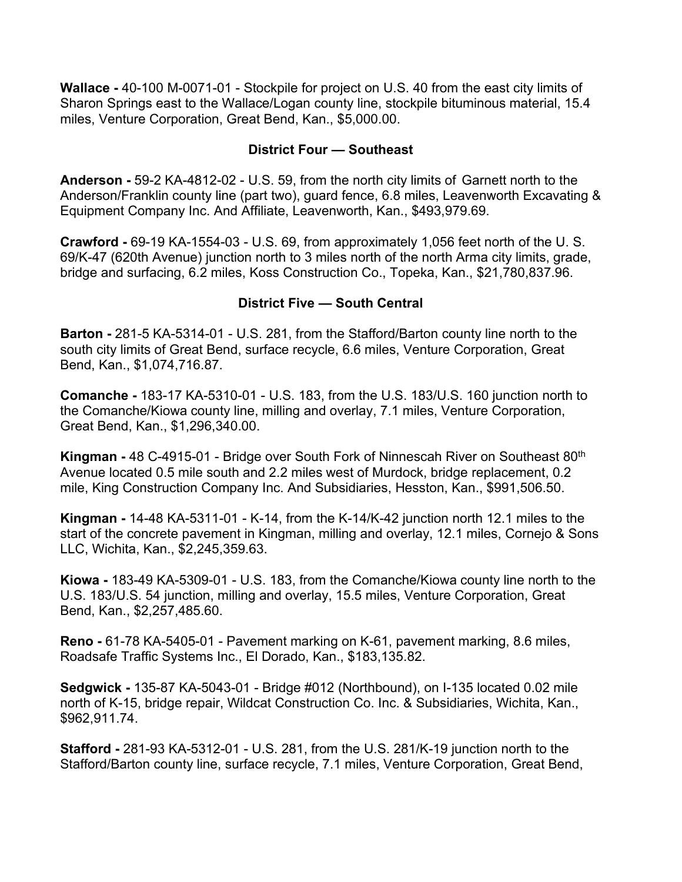**Wallace -** 40-100 M-0071-01 - Stockpile for project on U.S. 40 from the east city limits of Sharon Springs east to the Wallace/Logan county line, stockpile bituminous material, 15.4 miles, Venture Corporation, Great Bend, Kan., \$5,000.00.

### **District Four — Southeast**

**Anderson -** 59-2 KA-4812-02 - U.S. 59, from the north city limits of Garnett north to the Anderson/Franklin county line (part two), guard fence, 6.8 miles, Leavenworth Excavating & Equipment Company Inc. And Affiliate, Leavenworth, Kan., \$493,979.69.

**Crawford -** 69-19 KA-1554-03 - U.S. 69, from approximately 1,056 feet north of the U. S. 69/K-47 (620th Avenue) junction north to 3 miles north of the north Arma city limits, grade, bridge and surfacing, 6.2 miles, Koss Construction Co., Topeka, Kan., \$21,780,837.96.

## **District Five — South Central**

**Barton -** 281-5 KA-5314-01 - U.S. 281, from the Stafford/Barton county line north to the south city limits of Great Bend, surface recycle, 6.6 miles, Venture Corporation, Great Bend, Kan., \$1,074,716.87.

**Comanche -** 183-17 KA-5310-01 - U.S. 183, from the U.S. 183/U.S. 160 junction north to the Comanche/Kiowa county line, milling and overlay, 7.1 miles, Venture Corporation, Great Bend, Kan., \$1,296,340.00.

**Kingman -** 48 C-4915-01 - Bridge over South Fork of Ninnescah River on Southeast 80th Avenue located 0.5 mile south and 2.2 miles west of Murdock, bridge replacement, 0.2 mile, King Construction Company Inc. And Subsidiaries, Hesston, Kan., \$991,506.50.

**Kingman -** 14-48 KA-5311-01 - K-14, from the K-14/K-42 junction north 12.1 miles to the start of the concrete pavement in Kingman, milling and overlay, 12.1 miles, Cornejo & Sons LLC, Wichita, Kan., \$2,245,359.63.

**Kiowa -** 183-49 KA-5309-01 - U.S. 183, from the Comanche/Kiowa county line north to the U.S. 183/U.S. 54 junction, milling and overlay, 15.5 miles, Venture Corporation, Great Bend, Kan., \$2,257,485.60.

**Reno -** 61-78 KA-5405-01 - Pavement marking on K-61, pavement marking, 8.6 miles, Roadsafe Traffic Systems Inc., El Dorado, Kan., \$183,135.82.

**Sedgwick -** 135-87 KA-5043-01 - Bridge #012 (Northbound), on I-135 located 0.02 mile north of K-15, bridge repair, Wildcat Construction Co. Inc. & Subsidiaries, Wichita, Kan., \$962,911.74.

**Stafford -** 281-93 KA-5312-01 - U.S. 281, from the U.S. 281/K-19 junction north to the Stafford/Barton county line, surface recycle, 7.1 miles, Venture Corporation, Great Bend,